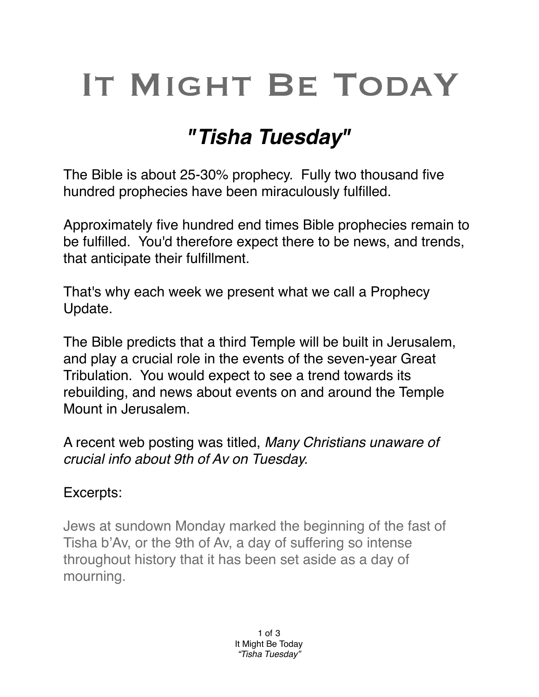# IT MIGHT BE TODAY

## *"Tisha Tuesday"*

The Bible is about 25-30% prophecy. Fully two thousand five hundred prophecies have been miraculously fulfilled.

Approximately five hundred end times Bible prophecies remain to be fulfilled. You'd therefore expect there to be news, and trends, that anticipate their fulfillment.

That's why each week we present what we call a Prophecy Update.

The Bible predicts that a third Temple will be built in Jerusalem, and play a crucial role in the events of the seven-year Great Tribulation. You would expect to see a trend towards its rebuilding, and news about events on and around the Temple Mount in Jerusalem.

A recent web posting was titled, *Many Christians unaware of crucial info about 9th of Av on Tuesday.*

#### Excerpts:

Jews at sundown Monday marked the beginning of the fast of Tisha b'Av, or the 9th of Av, a day of suffering so intense throughout history that it has been set aside as a day of mourning.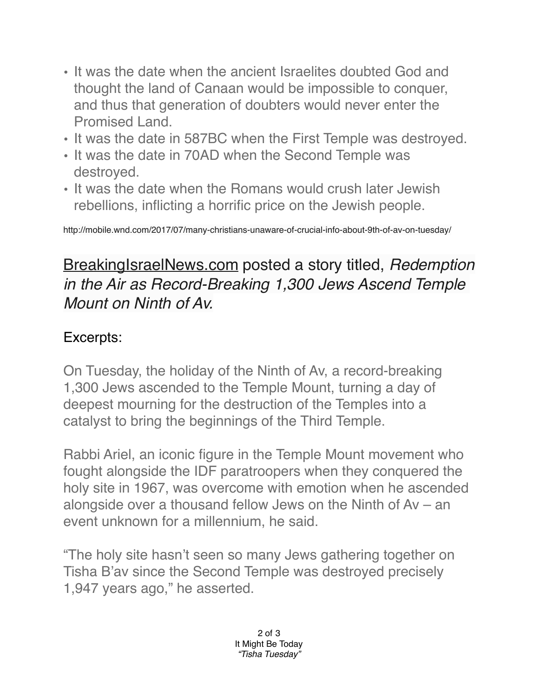- It was the date when the ancient Israelites doubted God and thought the land of Canaan would be impossible to conquer, and thus that generation of doubters would never enter the Promised Land.
- It was the date in 587BC when the First Temple was destroyed.
- It was the date in 70AD when the Second Temple was destroyed.
- It was the date when the Romans would crush later Jewish rebellions, inflicting a horrific price on the Jewish people.

http://mobile.wnd.com/2017/07/many-christians-unaware-of-crucial-info-about-9th-of-av-on-tuesday/

### [BreakingIsraelNews.com](http://BreakingIsraelNews.com) posted a story titled, *Redemption in the Air as Record-Breaking 1,300 Jews Ascend Temple Mount on Ninth of Av.*

#### Excerpts:

On Tuesday, the holiday of the Ninth of Av, a record-breaking 1,300 Jews ascended to the Temple Mount, turning a day of deepest mourning for the destruction of the Temples into a catalyst to bring the beginnings of the Third Temple.

Rabbi Ariel, an iconic figure in the Temple Mount movement who fought alongside the IDF paratroopers when they conquered the holy site in 1967, was overcome with emotion when he ascended alongside over a thousand fellow Jews on the Ninth of Av – an event unknown for a millennium, he said.

"The holy site hasn't seen so many Jews gathering together on Tisha B'av since the Second Temple was destroyed precisely 1,947 years ago," he asserted.